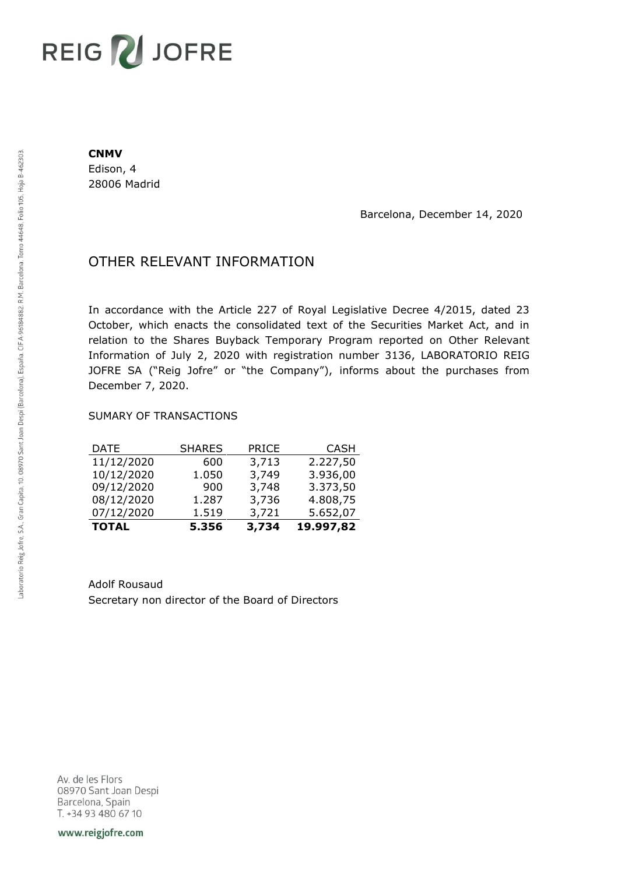## **REIG ZU JOFRE**

## **CNMV**

Edison, 4 28006 Madrid

Barcelona, December 14, 2020

## OTHER RELEVANT INFORMATION

In accordance with the Article 227 of Royal Legislative Decree 4/2015, dated 23 October, which enacts the consolidated text of the Securities Market Act, and in relation to the Shares Buyback Temporary Program reported on Other Relevant Information of July 2, 2020 with registration number 3136, LABORATORIO REIG JOFRE SA ("Reig Jofre" or "the Company"), informs about the purchases from December 7, 2020.

## SUMARY OF TRANSACTIONS

| <b>TOTAL</b> | 5.356         | 3,734        | 19.997,82   |
|--------------|---------------|--------------|-------------|
| 07/12/2020   | 1.519         | 3,721        | 5.652,07    |
| 08/12/2020   | 1.287         | 3,736        | 4.808,75    |
| 09/12/2020   | 900           | 3,748        | 3.373,50    |
| 10/12/2020   | 1.050         | 3,749        | 3.936,00    |
| 11/12/2020   | 600           | 3,713        | 2.227,50    |
| DATE         | <b>SHARES</b> | <b>PRICE</b> | <b>CASH</b> |

Adolf Rousaud Secretary non director of the Board of Directors

Av. de les Flors 08970 Sant Joan Despi Barcelona, Spain T. +34 93 480 67 10

www.reigjofre.com